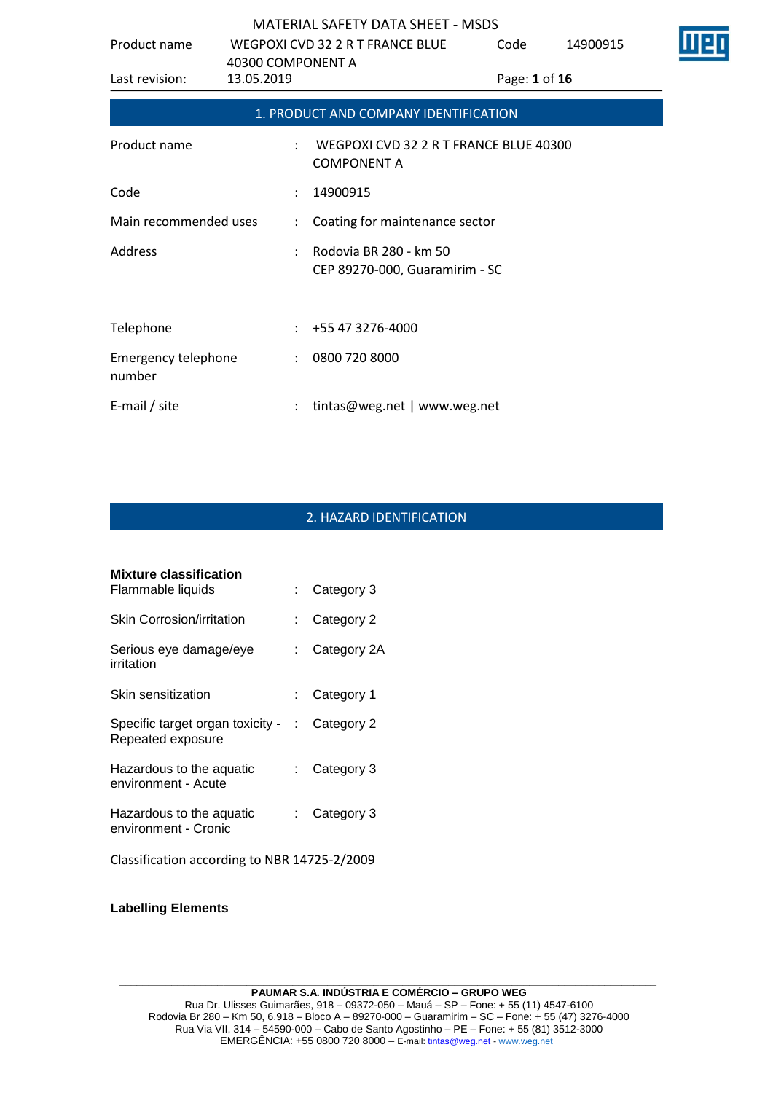| Product name                         |                                 | WEGPOXI CVD 32 2 R T FRANCE BLUE                             | Code          | 14900915 |  |
|--------------------------------------|---------------------------------|--------------------------------------------------------------|---------------|----------|--|
| Last revision:                       | 40300 COMPONENT A<br>13.05.2019 |                                                              | Page: 1 of 16 |          |  |
|                                      |                                 | 1. PRODUCT AND COMPANY IDENTIFICATION                        |               |          |  |
| Product name                         |                                 | WEGPOXI CVD 32 2 R T FRANCE BLUE 40300<br><b>COMPONENT A</b> |               |          |  |
| Code                                 |                                 | 14900915                                                     |               |          |  |
| Main recommended uses                |                                 | : Coating for maintenance sector                             |               |          |  |
| Address                              |                                 | Rodovia BR 280 - km 50<br>CEP 89270-000, Guaramirim - SC     |               |          |  |
| Telephone                            |                                 | $: +55473276-4000$                                           |               |          |  |
| <b>Emergency telephone</b><br>number |                                 | : 08007208000                                                |               |          |  |
| E-mail / site                        |                                 | tintas@weg.net   www.weg.net                                 |               |          |  |

# 2. HAZARD IDENTIFICATION

| <b>Mixture classification</b>                         |      |                         |
|-------------------------------------------------------|------|-------------------------|
| Flammable liquids                                     |      | $\therefore$ Category 3 |
| <b>Skin Corrosion/irritation</b>                      |      | Category 2              |
| Serious eye damage/eye<br>irritation                  |      | Category 2A             |
| Skin sensitization                                    | t.   | Category 1              |
| Specific target organ toxicity -<br>Repeated exposure |      | $\therefore$ Category 2 |
| Hazardous to the aguatic<br>environment - Acute       | t.   | Category 3              |
| Hazardous to the aquatic<br>environment - Cronic      | t in | Category 3              |
| Classification according to NBR 14725-2/2009          |      |                         |

### **Labelling Elements**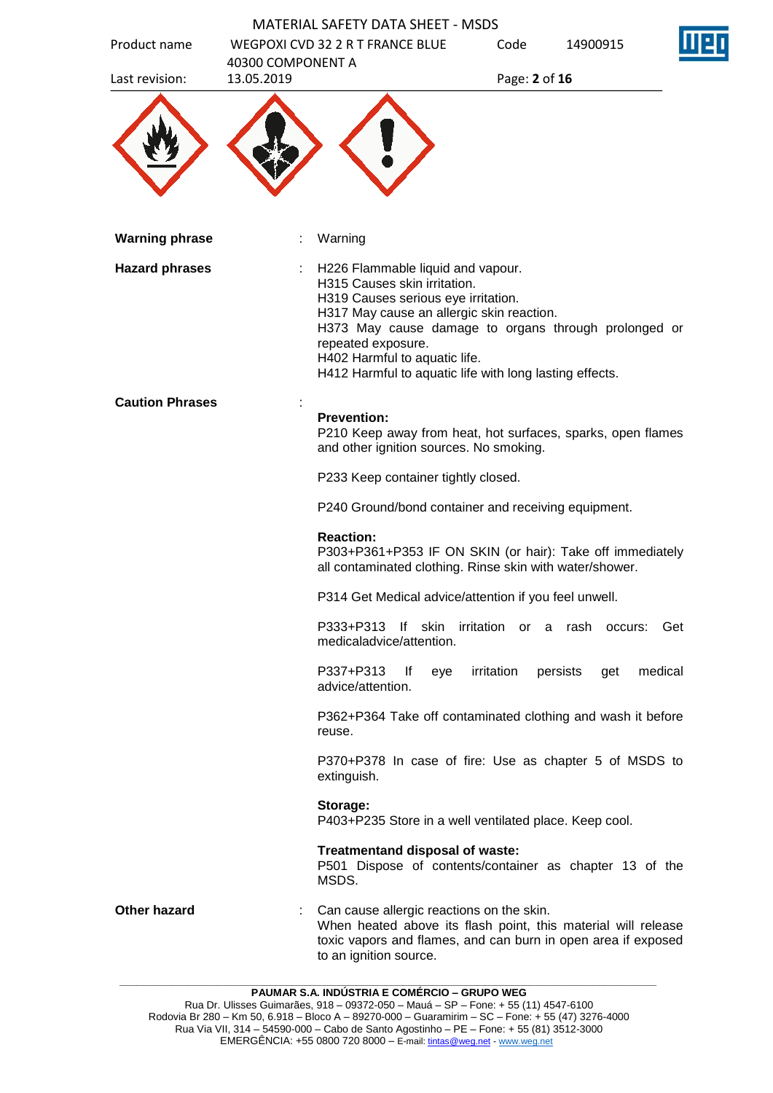| Product name           | <b>MATERIAL SAFETY DATA SHEET - MSDS</b><br>WEGPOXI CVD 32 2 R T FRANCE BLUE        | Code                                                                                                                                                                                                                                     | 14900915                     |         |
|------------------------|-------------------------------------------------------------------------------------|------------------------------------------------------------------------------------------------------------------------------------------------------------------------------------------------------------------------------------------|------------------------------|---------|
| Last revision:         | 40300 COMPONENT A<br>13.05.2019                                                     |                                                                                                                                                                                                                                          | Page: 2 of 16                |         |
|                        |                                                                                     |                                                                                                                                                                                                                                          |                              |         |
| <b>Warning phrase</b>  | Warning                                                                             |                                                                                                                                                                                                                                          |                              |         |
| <b>Hazard phrases</b>  | H315 Causes skin irritation.<br>repeated exposure.<br>H402 Harmful to aquatic life. | H226 Flammable liquid and vapour.<br>H319 Causes serious eye irritation.<br>H317 May cause an allergic skin reaction.<br>H373 May cause damage to organs through prolonged or<br>H412 Harmful to aquatic life with long lasting effects. |                              |         |
| <b>Caution Phrases</b> |                                                                                     |                                                                                                                                                                                                                                          |                              |         |
|                        | <b>Prevention:</b>                                                                  | P210 Keep away from heat, hot surfaces, sparks, open flames<br>and other ignition sources. No smoking.                                                                                                                                   |                              |         |
|                        |                                                                                     | P233 Keep container tightly closed.                                                                                                                                                                                                      |                              |         |
|                        |                                                                                     | P240 Ground/bond container and receiving equipment.                                                                                                                                                                                      |                              |         |
|                        | <b>Reaction:</b>                                                                    | P303+P361+P353 IF ON SKIN (or hair): Take off immediately<br>all contaminated clothing. Rinse skin with water/shower.                                                                                                                    |                              |         |
|                        |                                                                                     | P314 Get Medical advice/attention if you feel unwell.                                                                                                                                                                                    |                              |         |
|                        | P333+P313<br>medicaladvice/attention.                                               | lf<br>skin                                                                                                                                                                                                                               | irritation or a rash occurs: | Get     |
|                        | P337+P313<br>advice/attention.                                                      | irritation<br><u>lf</u><br>eye                                                                                                                                                                                                           | persists<br>get              | medical |
|                        | reuse.                                                                              | P362+P364 Take off contaminated clothing and wash it before                                                                                                                                                                              |                              |         |
|                        | extinguish.                                                                         | P370+P378 In case of fire: Use as chapter 5 of MSDS to                                                                                                                                                                                   |                              |         |
|                        | Storage:                                                                            | P403+P235 Store in a well ventilated place. Keep cool.                                                                                                                                                                                   |                              |         |
|                        | MSDS.                                                                               | Treatmentand disposal of waste:<br>P501 Dispose of contents/container as chapter 13 of the                                                                                                                                               |                              |         |
| <b>Other hazard</b>    | to an ignition source.                                                              | Can cause allergic reactions on the skin.<br>When heated above its flash point, this material will release<br>toxic vapors and flames, and can burn in open area if exposed                                                              |                              |         |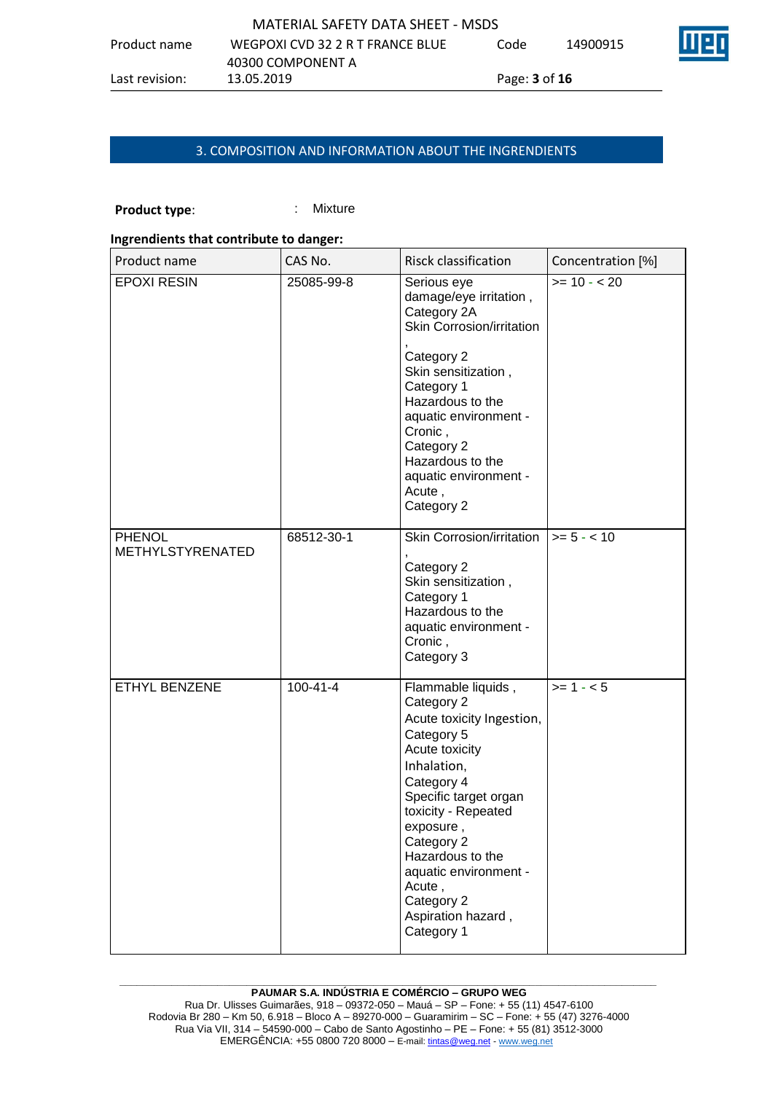|                | MATERIAL SAFETY DATA SHEET - MSDS |                             |          |  |
|----------------|-----------------------------------|-----------------------------|----------|--|
| Product name   | WEGPOXI CVD 32 2 R T FRANCE BLUE  | Code                        | 14900915 |  |
|                | 40300 COMPONENT A                 |                             |          |  |
| Last revision: | 13.05.2019                        | Page: <b>3</b> of <b>16</b> |          |  |

# 3. COMPOSITION AND INFORMATION ABOUT THE INGRENDIENTS

# **Product type:** : Mixture

#### **Ingrendients that contribute to danger:**

| Product name                      | CAS No.        | Risck classification                                                                                                                                                                                                                                                                                           | Concentration [%] |
|-----------------------------------|----------------|----------------------------------------------------------------------------------------------------------------------------------------------------------------------------------------------------------------------------------------------------------------------------------------------------------------|-------------------|
| <b>EPOXI RESIN</b>                | 25085-99-8     | Serious eye<br>damage/eye irritation,<br>Category 2A<br>Skin Corrosion/irritation<br>Category 2<br>Skin sensitization,<br>Category 1<br>Hazardous to the<br>aquatic environment -<br>Cronic,<br>Category 2<br>Hazardous to the<br>aquatic environment -<br>Acute,<br>Category 2                                | $>= 10 - 20$      |
| <b>PHENOL</b><br>METHYLSTYRENATED | 68512-30-1     | Skin Corrosion/irritation $ >= 5 - < 10$<br>Category 2<br>Skin sensitization,<br>Category 1<br>Hazardous to the<br>aquatic environment -<br>Cronic,<br>Category 3                                                                                                                                              |                   |
| ETHYL BENZENE                     | $100 - 41 - 4$ | Flammable liquids,<br>Category 2<br>Acute toxicity Ingestion,<br>Category 5<br>Acute toxicity<br>Inhalation,<br>Category 4<br>Specific target organ<br>toxicity - Repeated<br>exposure,<br>Category 2<br>Hazardous to the<br>aquatic environment -<br>Acute,<br>Category 2<br>Aspiration hazard,<br>Category 1 | $>= 1 - 5$        |

#### **\_\_\_\_\_\_\_\_\_\_\_\_\_\_\_\_\_\_\_\_\_\_\_\_\_\_\_\_\_\_\_\_\_\_\_\_\_\_\_\_\_\_\_\_\_\_\_\_\_\_\_\_\_\_\_\_\_\_\_\_\_\_\_\_\_\_\_\_\_\_\_\_\_\_\_\_\_\_\_\_\_\_\_\_\_\_\_\_\_\_\_\_\_ PAUMAR S.A. INDÚSTRIA E COMÉRCIO – GRUPO WEG**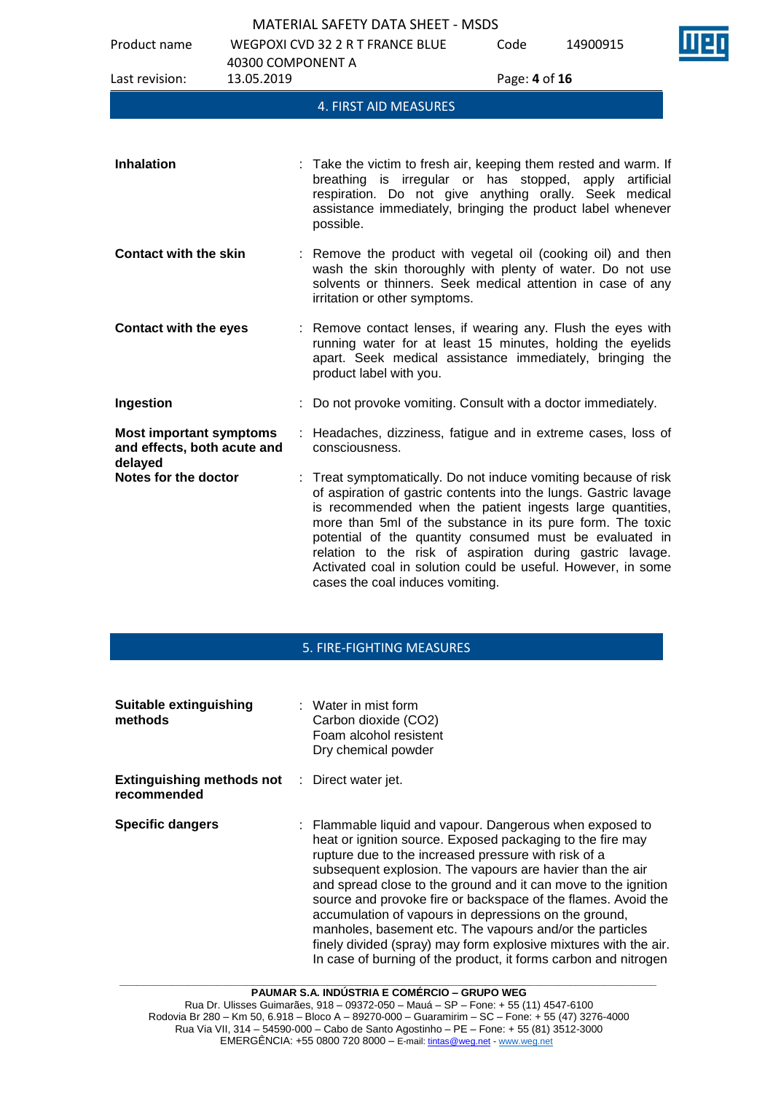

| Product name                                                             | 40300 COMPONENT A | <b>WEGPOXI CVD 32 2 R T FRANCE BLUE</b>                                                                                                                                                                                                                                                                                                                                                                                                                                                    | Code          | 14900915 |  |
|--------------------------------------------------------------------------|-------------------|--------------------------------------------------------------------------------------------------------------------------------------------------------------------------------------------------------------------------------------------------------------------------------------------------------------------------------------------------------------------------------------------------------------------------------------------------------------------------------------------|---------------|----------|--|
| Last revision:                                                           | 13.05.2019        |                                                                                                                                                                                                                                                                                                                                                                                                                                                                                            | Page: 4 of 16 |          |  |
|                                                                          |                   | 4. FIRST AID MEASURES                                                                                                                                                                                                                                                                                                                                                                                                                                                                      |               |          |  |
| <b>Inhalation</b>                                                        |                   | : Take the victim to fresh air, keeping them rested and warm. If                                                                                                                                                                                                                                                                                                                                                                                                                           |               |          |  |
|                                                                          |                   | breathing is irregular or has stopped, apply artificial<br>respiration. Do not give anything orally. Seek medical<br>assistance immediately, bringing the product label whenever<br>possible.                                                                                                                                                                                                                                                                                              |               |          |  |
| <b>Contact with the skin</b>                                             |                   | : Remove the product with vegetal oil (cooking oil) and then<br>wash the skin thoroughly with plenty of water. Do not use<br>solvents or thinners. Seek medical attention in case of any<br>irritation or other symptoms.                                                                                                                                                                                                                                                                  |               |          |  |
| <b>Contact with the eyes</b>                                             |                   | Remove contact lenses, if wearing any. Flush the eyes with<br>running water for at least 15 minutes, holding the eyelids<br>apart. Seek medical assistance immediately, bringing the<br>product label with you.                                                                                                                                                                                                                                                                            |               |          |  |
| Ingestion                                                                |                   | Do not provoke vomiting. Consult with a doctor immediately.                                                                                                                                                                                                                                                                                                                                                                                                                                |               |          |  |
| <b>Most important symptoms</b><br>and effects, both acute and<br>delayed |                   | Headaches, dizziness, fatigue and in extreme cases, loss of<br>consciousness.                                                                                                                                                                                                                                                                                                                                                                                                              |               |          |  |
| Notes for the doctor                                                     |                   | : Treat symptomatically. Do not induce vomiting because of risk<br>of aspiration of gastric contents into the lungs. Gastric lavage<br>is recommended when the patient ingests large quantities,<br>more than 5ml of the substance in its pure form. The toxic<br>potential of the quantity consumed must be evaluated in<br>relation to the risk of aspiration during gastric lavage.<br>Activated coal in solution could be useful. However, in some<br>cases the coal induces vomiting. |               |          |  |

# 5. FIRE-FIGHTING MEASURES

| Suitable extinguishing<br>methods                                   | $\therefore$ Water in mist form<br>Carbon dioxide (CO2)<br>Foam alcohol resistent<br>Dry chemical powder                                                                                                                                                                                                                                                                                                                                                                                                                                                                                                                                   |
|---------------------------------------------------------------------|--------------------------------------------------------------------------------------------------------------------------------------------------------------------------------------------------------------------------------------------------------------------------------------------------------------------------------------------------------------------------------------------------------------------------------------------------------------------------------------------------------------------------------------------------------------------------------------------------------------------------------------------|
| <b>Extinguishing methods not</b> : Direct water jet.<br>recommended |                                                                                                                                                                                                                                                                                                                                                                                                                                                                                                                                                                                                                                            |
| <b>Specific dangers</b>                                             | : Flammable liquid and vapour. Dangerous when exposed to<br>heat or ignition source. Exposed packaging to the fire may<br>rupture due to the increased pressure with risk of a<br>subsequent explosion. The vapours are havier than the air<br>and spread close to the ground and it can move to the ignition<br>source and provoke fire or backspace of the flames. Avoid the<br>accumulation of vapours in depressions on the ground,<br>manholes, basement etc. The vapours and/or the particles<br>finely divided (spray) may form explosive mixtures with the air.<br>In case of burning of the product, it forms carbon and nitrogen |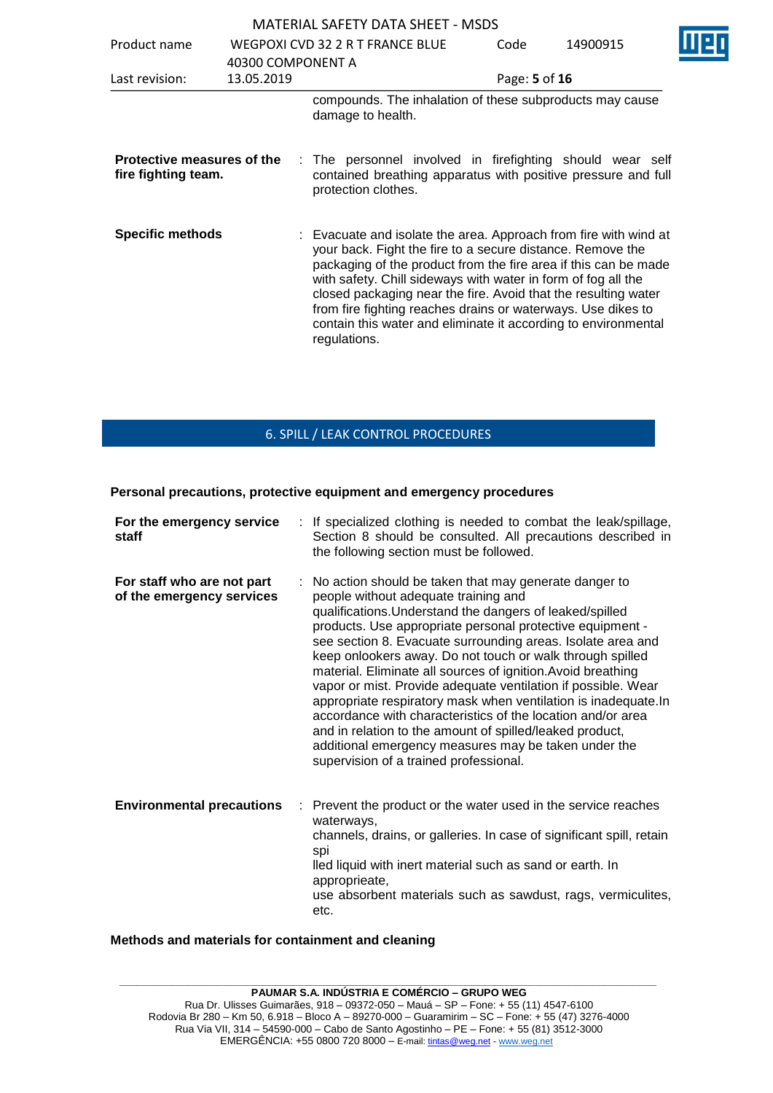| Product name                                      |                                 | WEGPOXI CVD 32 2 R T FRANCE BLUE                                                                                                                                                                                                                                                                                                                                                                                                                                                       | Code          | 14900915 |  |
|---------------------------------------------------|---------------------------------|----------------------------------------------------------------------------------------------------------------------------------------------------------------------------------------------------------------------------------------------------------------------------------------------------------------------------------------------------------------------------------------------------------------------------------------------------------------------------------------|---------------|----------|--|
| Last revision:                                    | 40300 COMPONENT A<br>13.05.2019 |                                                                                                                                                                                                                                                                                                                                                                                                                                                                                        | Page: 5 of 16 |          |  |
|                                                   |                                 | compounds. The inhalation of these subproducts may cause<br>damage to health.                                                                                                                                                                                                                                                                                                                                                                                                          |               |          |  |
| Protective measures of the<br>fire fighting team. |                                 | : The personnel involved in firefighting should wear self<br>contained breathing apparatus with positive pressure and full<br>protection clothes.                                                                                                                                                                                                                                                                                                                                      |               |          |  |
| <b>Specific methods</b>                           |                                 | : Evacuate and isolate the area. Approach from fire with wind at<br>your back. Fight the fire to a secure distance. Remove the<br>packaging of the product from the fire area if this can be made<br>with safety. Chill sideways with water in form of fog all the<br>closed packaging near the fire. Avoid that the resulting water<br>from fire fighting reaches drains or waterways. Use dikes to<br>contain this water and eliminate it according to environmental<br>regulations. |               |          |  |

# 6. SPILL / LEAK CONTROL PROCEDURES

### **Personal precautions, protective equipment and emergency procedures**

| For the emergency service<br>staff                      | : If specialized clothing is needed to combat the leak/spillage,<br>Section 8 should be consulted. All precautions described in<br>the following section must be followed.                                                                                                                                                                                                                                                                                                                                                                                                                                                                                                                                                                                                            |
|---------------------------------------------------------|---------------------------------------------------------------------------------------------------------------------------------------------------------------------------------------------------------------------------------------------------------------------------------------------------------------------------------------------------------------------------------------------------------------------------------------------------------------------------------------------------------------------------------------------------------------------------------------------------------------------------------------------------------------------------------------------------------------------------------------------------------------------------------------|
| For staff who are not part<br>of the emergency services | : No action should be taken that may generate danger to<br>people without adequate training and<br>qualifications. Understand the dangers of leaked/spilled<br>products. Use appropriate personal protective equipment -<br>see section 8. Evacuate surrounding areas. Isolate area and<br>keep onlookers away. Do not touch or walk through spilled<br>material. Eliminate all sources of ignition. Avoid breathing<br>vapor or mist. Provide adequate ventilation if possible. Wear<br>appropriate respiratory mask when ventilation is inadequate. In<br>accordance with characteristics of the location and/or area<br>and in relation to the amount of spilled/leaked product,<br>additional emergency measures may be taken under the<br>supervision of a trained professional. |
| <b>Environmental precautions</b><br>÷.                  | Prevent the product or the water used in the service reaches<br>waterways,<br>channels, drains, or galleries. In case of significant spill, retain<br>spi<br>lled liquid with inert material such as sand or earth. In<br>approprieate,<br>use absorbent materials such as sawdust, rags, vermiculites,<br>etc.                                                                                                                                                                                                                                                                                                                                                                                                                                                                       |

### **Methods and materials for containment and cleaning**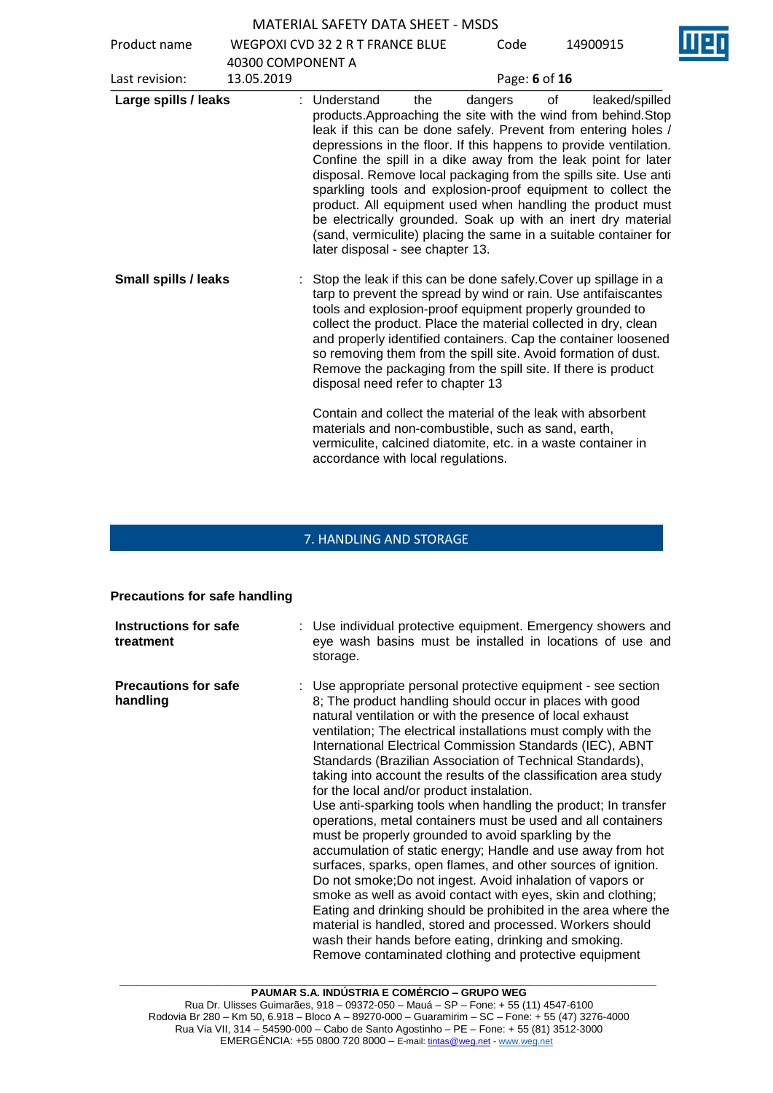Product name WEGPOXI CVD 32 2 R T FRANCE BLUE

Code 14900915

|                             | 40300 COMPONENT A |                                                                                                                                                                                                                                                                                                                                                                                                                                           |     |         |               |                                                                                                                                                                                                                                                                                                                                                                                                                                                                                                                                                                                                                                |
|-----------------------------|-------------------|-------------------------------------------------------------------------------------------------------------------------------------------------------------------------------------------------------------------------------------------------------------------------------------------------------------------------------------------------------------------------------------------------------------------------------------------|-----|---------|---------------|--------------------------------------------------------------------------------------------------------------------------------------------------------------------------------------------------------------------------------------------------------------------------------------------------------------------------------------------------------------------------------------------------------------------------------------------------------------------------------------------------------------------------------------------------------------------------------------------------------------------------------|
| Last revision:              | 13.05.2019        |                                                                                                                                                                                                                                                                                                                                                                                                                                           |     |         | Page: 6 of 16 |                                                                                                                                                                                                                                                                                                                                                                                                                                                                                                                                                                                                                                |
| Large spills / leaks        |                   | : Understand<br>later disposal - see chapter 13.                                                                                                                                                                                                                                                                                                                                                                                          | the | dangers | 0f            | leaked/spilled<br>products. Approaching the site with the wind from behind. Stop<br>leak if this can be done safely. Prevent from entering holes /<br>depressions in the floor. If this happens to provide ventilation.<br>Confine the spill in a dike away from the leak point for later<br>disposal. Remove local packaging from the spills site. Use anti<br>sparkling tools and explosion-proof equipment to collect the<br>product. All equipment used when handling the product must<br>be electrically grounded. Soak up with an inert dry material<br>(sand, vermiculite) placing the same in a suitable container for |
| <b>Small spills / leaks</b> |                   | Stop the leak if this can be done safely. Cover up spillage in a<br>tarp to prevent the spread by wind or rain. Use antifaiscantes<br>tools and explosion-proof equipment properly grounded to<br>collect the product. Place the material collected in dry, clean<br>so removing them from the spill site. Avoid formation of dust.<br>Remove the packaging from the spill site. If there is product<br>disposal need refer to chapter 13 |     |         |               | and properly identified containers. Cap the container loosened                                                                                                                                                                                                                                                                                                                                                                                                                                                                                                                                                                 |
|                             |                   | Contain and collect the material of the leak with absorbent<br>materials and non-combustible, such as sand, earth,<br>vermiculite, calcined diatomite, etc. in a waste container in<br>accordance with local regulations.                                                                                                                                                                                                                 |     |         |               |                                                                                                                                                                                                                                                                                                                                                                                                                                                                                                                                                                                                                                |

# 7. HANDLING AND STORAGE

# **Precautions for safe handling**

| Instructions for safe<br>treatment      | : Use individual protective equipment. Emergency showers and<br>eye wash basins must be installed in locations of use and<br>storage.                                                                                                                                                                                                                                                                                                                                                                                                                                                                                                                                                                                                                                                                                                                                                                                                                                                                                                                                                                                                                                                                       |
|-----------------------------------------|-------------------------------------------------------------------------------------------------------------------------------------------------------------------------------------------------------------------------------------------------------------------------------------------------------------------------------------------------------------------------------------------------------------------------------------------------------------------------------------------------------------------------------------------------------------------------------------------------------------------------------------------------------------------------------------------------------------------------------------------------------------------------------------------------------------------------------------------------------------------------------------------------------------------------------------------------------------------------------------------------------------------------------------------------------------------------------------------------------------------------------------------------------------------------------------------------------------|
| <b>Precautions for safe</b><br>handling | : Use appropriate personal protective equipment - see section<br>8; The product handling should occur in places with good<br>natural ventilation or with the presence of local exhaust<br>ventilation; The electrical installations must comply with the<br>International Electrical Commission Standards (IEC), ABNT<br>Standards (Brazilian Association of Technical Standards),<br>taking into account the results of the classification area study<br>for the local and/or product instalation.<br>Use anti-sparking tools when handling the product; In transfer<br>operations, metal containers must be used and all containers<br>must be properly grounded to avoid sparkling by the<br>accumulation of static energy; Handle and use away from hot<br>surfaces, sparks, open flames, and other sources of ignition.<br>Do not smoke; Do not ingest. Avoid inhalation of vapors or<br>smoke as well as avoid contact with eyes, skin and clothing;<br>Eating and drinking should be prohibited in the area where the<br>material is handled, stored and processed. Workers should<br>wash their hands before eating, drinking and smoking.<br>Remove contaminated clothing and protective equipment |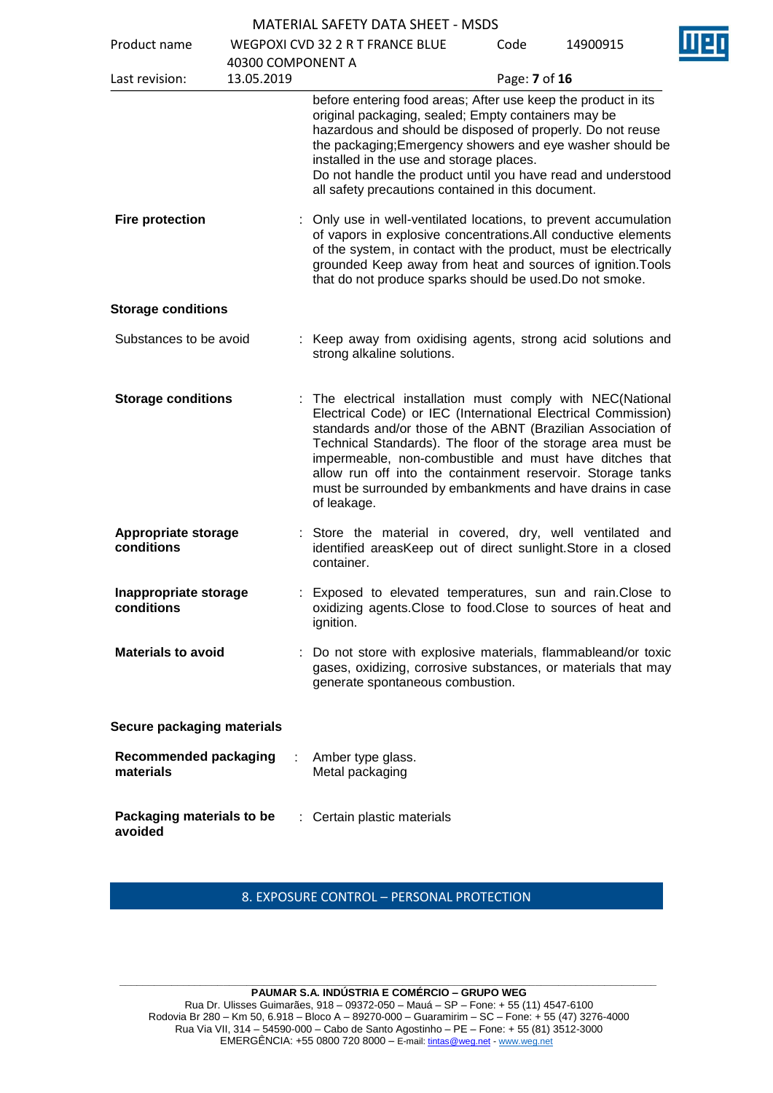Product name

| P                                |                             |          |
|----------------------------------|-----------------------------|----------|
| WEGPOXI CVD 32 2 R T FRANCE BLUE | Code                        | 14900915 |
| 40300 COMPONENT A                |                             |          |
| 13.05.2019                       | Page: <b>7</b> of <b>16</b> |          |



|                                           | 40300 COMPONENT A |                                                                                                                                                                                                                                                                                                                                                                                                                                                                 |  |  |
|-------------------------------------------|-------------------|-----------------------------------------------------------------------------------------------------------------------------------------------------------------------------------------------------------------------------------------------------------------------------------------------------------------------------------------------------------------------------------------------------------------------------------------------------------------|--|--|
| Last revision:                            | 13.05.2019        | Page: 7 of 16                                                                                                                                                                                                                                                                                                                                                                                                                                                   |  |  |
|                                           |                   | before entering food areas; After use keep the product in its<br>original packaging, sealed; Empty containers may be<br>hazardous and should be disposed of properly. Do not reuse<br>the packaging; Emergency showers and eye washer should be<br>installed in the use and storage places.<br>Do not handle the product until you have read and understood<br>all safety precautions contained in this document.                                               |  |  |
| <b>Fire protection</b>                    |                   | Only use in well-ventilated locations, to prevent accumulation<br>of vapors in explosive concentrations.All conductive elements<br>of the system, in contact with the product, must be electrically<br>grounded Keep away from heat and sources of ignition. Tools<br>that do not produce sparks should be used. Do not smoke.                                                                                                                                  |  |  |
| <b>Storage conditions</b>                 |                   |                                                                                                                                                                                                                                                                                                                                                                                                                                                                 |  |  |
| Substances to be avoid                    |                   | : Keep away from oxidising agents, strong acid solutions and<br>strong alkaline solutions.                                                                                                                                                                                                                                                                                                                                                                      |  |  |
| <b>Storage conditions</b>                 |                   | The electrical installation must comply with NEC(National<br>Electrical Code) or IEC (International Electrical Commission)<br>standards and/or those of the ABNT (Brazilian Association of<br>Technical Standards). The floor of the storage area must be<br>impermeable, non-combustible and must have ditches that<br>allow run off into the containment reservoir. Storage tanks<br>must be surrounded by embankments and have drains in case<br>of leakage. |  |  |
| <b>Appropriate storage</b><br>conditions  |                   | : Store the material in covered, dry, well ventilated and<br>identified areasKeep out of direct sunlight. Store in a closed<br>container.                                                                                                                                                                                                                                                                                                                       |  |  |
| Inappropriate storage<br>conditions       |                   | Exposed to elevated temperatures, sun and rain. Close to<br>oxidizing agents. Close to food. Close to sources of heat and<br>ignition.                                                                                                                                                                                                                                                                                                                          |  |  |
| <b>Materials to avoid</b>                 |                   | : Do not store with explosive materials, flammableand/or toxic<br>gases, oxidizing, corrosive substances, or materials that may<br>generate spontaneous combustion.                                                                                                                                                                                                                                                                                             |  |  |
| Secure packaging materials                |                   |                                                                                                                                                                                                                                                                                                                                                                                                                                                                 |  |  |
| <b>Recommended packaging</b><br>materials |                   | Amber type glass.<br>Metal packaging                                                                                                                                                                                                                                                                                                                                                                                                                            |  |  |
| Packaging materials to be<br>avoided      |                   | Certain plastic materials                                                                                                                                                                                                                                                                                                                                                                                                                                       |  |  |

8. EXPOSURE CONTROL – PERSONAL PROTECTION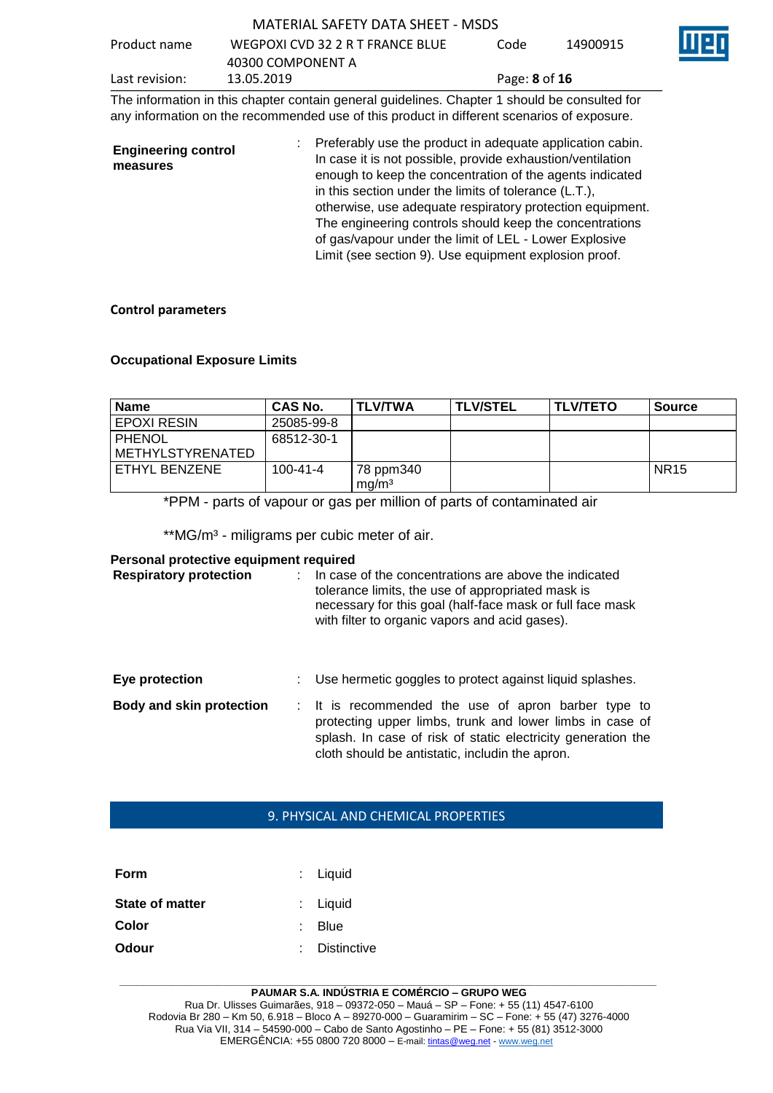| Product name   | WEGPOXI CVD 32 2 R T FRANCE BLUE | Code                        | 14900915 |  |
|----------------|----------------------------------|-----------------------------|----------|--|
|                | 40300 COMPONENT A                |                             |          |  |
| Last revision: | 13.05.2019                       | Page: <b>8</b> of <b>16</b> |          |  |

The information in this chapter contain general guidelines. Chapter 1 should be consulted for any information on the recommended use of this product in different scenarios of exposure.

| <b>Engineering control</b><br>measures | : Preferably use the product in adequate application cabin.<br>In case it is not possible, provide exhaustion/ventilation<br>enough to keep the concentration of the agents indicated<br>in this section under the limits of tolerance (L.T.), |
|----------------------------------------|------------------------------------------------------------------------------------------------------------------------------------------------------------------------------------------------------------------------------------------------|
|                                        | otherwise, use adequate respiratory protection equipment.<br>The engineering controls should keep the concentrations                                                                                                                           |
|                                        | of gas/vapour under the limit of LEL - Lower Explosive<br>Limit (see section 9). Use equipment explosion proof.                                                                                                                                |

### **Control parameters**

### **Occupational Exposure Limits**

| <b>Name</b>                    | CAS No.        | <b>TLV/TWA</b>                 | <b>TLV/STEL</b> | <b>TLV/TETO</b> | Source      |
|--------------------------------|----------------|--------------------------------|-----------------|-----------------|-------------|
| l EPOXI RESIN                  | 25085-99-8     |                                |                 |                 |             |
| l PHENOL<br>I METHYLSTYRENATED | 68512-30-1     |                                |                 |                 |             |
| I ETHYL BENZENE                | $100 - 41 - 4$ | 78 ppm340<br>mg/m <sup>3</sup> |                 |                 | <b>NR15</b> |

\*PPM - parts of vapour or gas per million of parts of contaminated air

\*\*MG/m<sup>3</sup> - miligrams per cubic meter of air.

### **Personal protective equipment required**

| <b>Respiratory protection</b>   |  | In case of the concentrations are above the indicated<br>tolerance limits, the use of appropriated mask is<br>necessary for this goal (half-face mask or full face mask<br>with filter to organic vapors and acid gases).          |
|---------------------------------|--|------------------------------------------------------------------------------------------------------------------------------------------------------------------------------------------------------------------------------------|
| Eye protection                  |  | Use hermetic goggles to protect against liquid splashes.                                                                                                                                                                           |
| <b>Body and skin protection</b> |  | : It is recommended the use of apron barber type to<br>protecting upper limbs, trunk and lower limbs in case of<br>splash. In case of risk of static electricity generation the<br>cloth should be antistatic, includin the apron. |

### 9. PHYSICAL AND CHEMICAL PROPERTIES

| : Liquid           |
|--------------------|
| : Liquid           |
| Blue               |
| <b>Distinctive</b> |
|                    |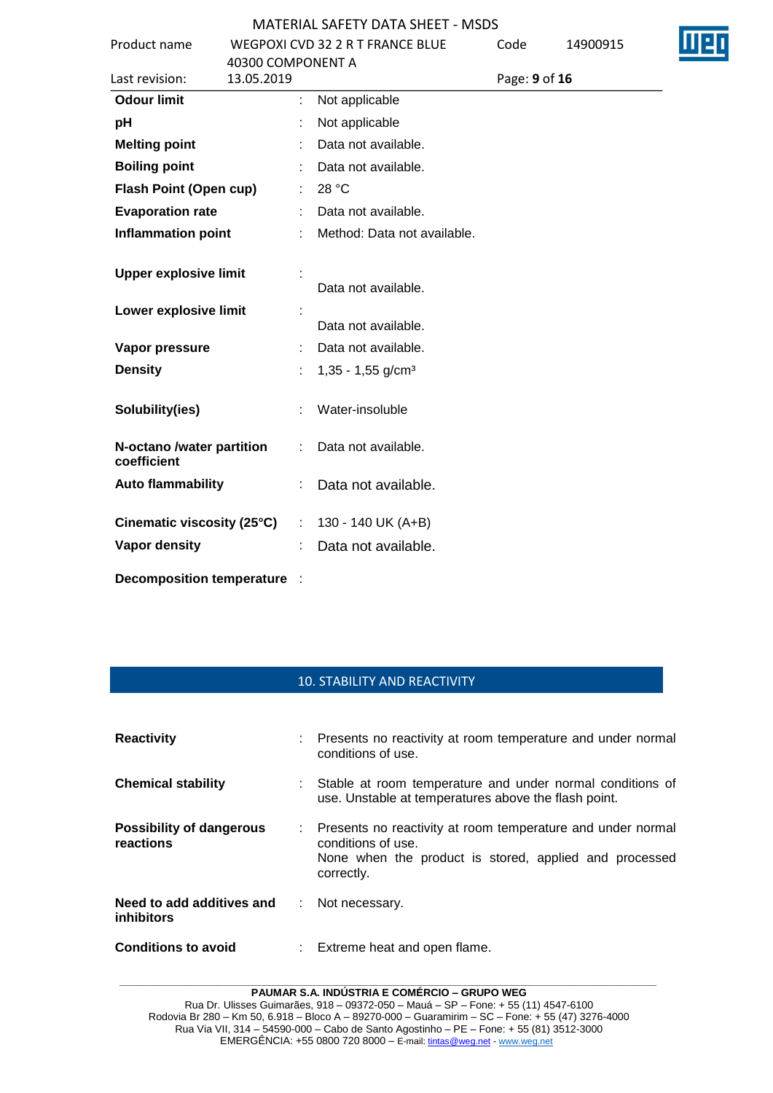|                                          |                             | <u> נטנואר וובאות האראט וובאנצאו אווי</u> |               |          |  |
|------------------------------------------|-----------------------------|-------------------------------------------|---------------|----------|--|
| Product name                             |                             | WEGPOXI CVD 32 2 R T FRANCE BLUE          | Code          | 14900915 |  |
|                                          | 40300 COMPONENT A           |                                           |               |          |  |
| Last revision:                           | 13.05.2019                  |                                           | Page: 9 of 16 |          |  |
| <b>Odour limit</b>                       |                             | Not applicable                            |               |          |  |
| pH                                       |                             | Not applicable                            |               |          |  |
| <b>Melting point</b>                     |                             | Data not available.                       |               |          |  |
| <b>Boiling point</b>                     |                             | Data not available.                       |               |          |  |
| Flash Point (Open cup)                   |                             | 28 °C                                     |               |          |  |
| <b>Evaporation rate</b>                  |                             | Data not available.                       |               |          |  |
| <b>Inflammation point</b>                |                             | Method: Data not available.               |               |          |  |
| <b>Upper explosive limit</b>             |                             |                                           |               |          |  |
|                                          |                             | Data not available.                       |               |          |  |
| Lower explosive limit                    |                             | Data not available.                       |               |          |  |
| Vapor pressure                           |                             | Data not available.                       |               |          |  |
| <b>Density</b>                           |                             | $1,35 - 1,55$ g/cm <sup>3</sup>           |               |          |  |
| Solubility(ies)                          |                             | Water-insoluble                           |               |          |  |
| N-octano /water partition<br>coefficient |                             | Data not available.                       |               |          |  |
| <b>Auto flammability</b>                 |                             | Data not available.                       |               |          |  |
| Cinematic viscosity (25°C)               | $\mathcal{L}^{\mathcal{L}}$ | 130 - 140 UK (A+B)                        |               |          |  |
| <b>Vapor density</b>                     |                             | Data not available.                       |               |          |  |
| <b>Decomposition temperature</b>         |                             |                                           |               |          |  |

### 10. STABILITY AND REACTIVITY

| <b>Reactivity</b>                            |    | : Presents no reactivity at room temperature and under normal<br>conditions of use.                                                                         |
|----------------------------------------------|----|-------------------------------------------------------------------------------------------------------------------------------------------------------------|
| <b>Chemical stability</b>                    |    | Stable at room temperature and under normal conditions of<br>use. Unstable at temperatures above the flash point.                                           |
| <b>Possibility of dangerous</b><br>reactions |    | : Presents no reactivity at room temperature and under normal<br>conditions of use.<br>None when the product is stored, applied and processed<br>correctly. |
| Need to add additives and<br>inhibitors      | ÷. | Not necessary.                                                                                                                                              |
| <b>Conditions to avoid</b>                   | t. | Extreme heat and open flame.                                                                                                                                |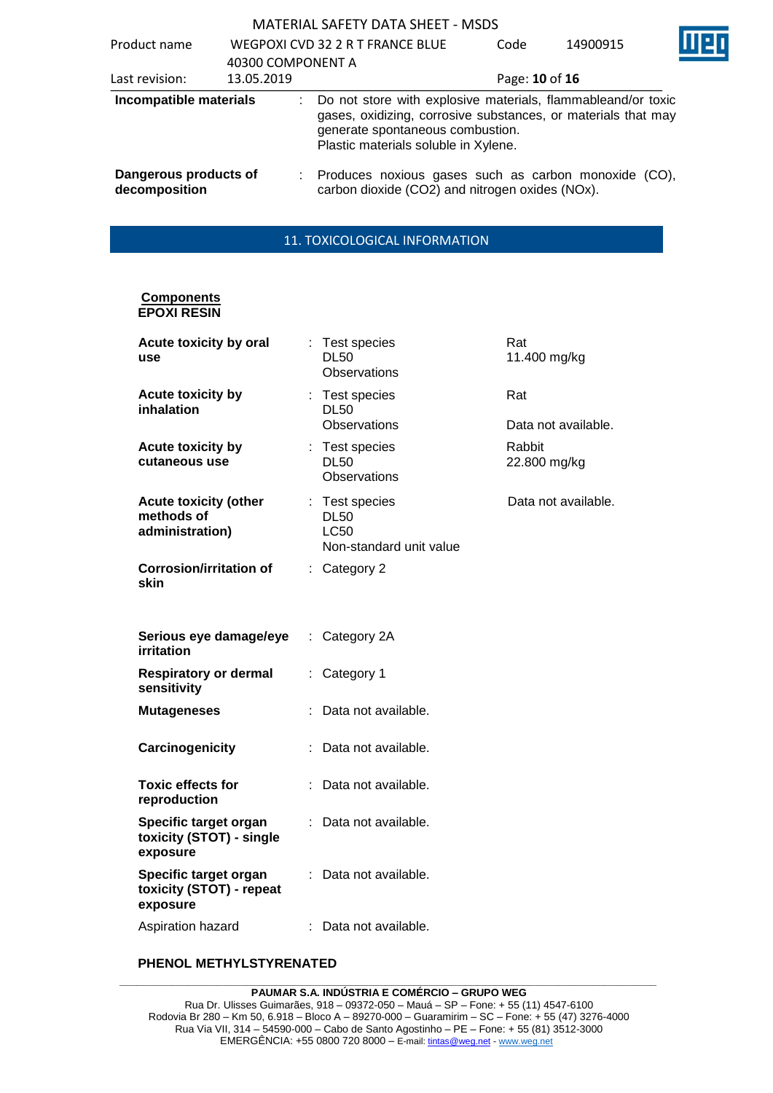| Product name                           | 40300 COMPONENT A | WEGPOXI CVD 32 2 R T FRANCE BLUE                                                                                                                                                                          | Code           | 14900915 |  |  |
|----------------------------------------|-------------------|-----------------------------------------------------------------------------------------------------------------------------------------------------------------------------------------------------------|----------------|----------|--|--|
| Last revision:                         | 13.05.2019        |                                                                                                                                                                                                           | Page: 10 of 16 |          |  |  |
| Incompatible materials                 |                   | Do not store with explosive materials, flammableand/or toxic<br>gases, oxidizing, corrosive substances, or materials that may<br>generate spontaneous combustion.<br>Plastic materials soluble in Xylene. |                |          |  |  |
| Dangerous products of<br>decomposition | ÷.                | Produces noxious gases such as carbon monoxide (CO),<br>carbon dioxide (CO2) and nitrogen oxides (NOx).                                                                                                   |                |          |  |  |

# 11. TOXICOLOGICAL INFORMATION

### **Components EPOXI RESIN**

| Acute toxicity by oral<br>use                                 |    | Test species<br><b>DL50</b><br>Observations                             | Rat<br>11.400 mg/kg    |
|---------------------------------------------------------------|----|-------------------------------------------------------------------------|------------------------|
| <b>Acute toxicity by</b><br>inhalation                        |    | : Test species<br><b>DL50</b>                                           | Rat                    |
|                                                               |    | <b>Observations</b>                                                     | Data not available.    |
| <b>Acute toxicity by</b><br>cutaneous use                     |    | : Test species<br><b>DL50</b><br>Observations                           | Rabbit<br>22.800 mg/kg |
| <b>Acute toxicity (other</b><br>methods of<br>administration) |    | : Test species<br><b>DL50</b><br><b>LC50</b><br>Non-standard unit value | Data not available.    |
| <b>Corrosion/irritation of</b><br>skin                        |    | : Category 2                                                            |                        |
| Serious eye damage/eye<br>irritation                          | ÷. | Category 2A                                                             |                        |
| <b>Respiratory or dermal</b><br>sensitivity                   |    | Category 1                                                              |                        |
| <b>Mutageneses</b>                                            |    | Data not available.                                                     |                        |
| Carcinogenicity                                               |    | Data not available.                                                     |                        |
| <b>Toxic effects for</b><br>reproduction                      |    | Data not available.                                                     |                        |
| Specific target organ<br>toxicity (STOT) - single<br>exposure |    | Data not available.                                                     |                        |
| Specific target organ<br>toxicity (STOT) - repeat<br>exposure |    | Data not available.                                                     |                        |
| Aspiration hazard                                             |    | Data not available.                                                     |                        |

# **PHENOL METHYLSTYRENATED**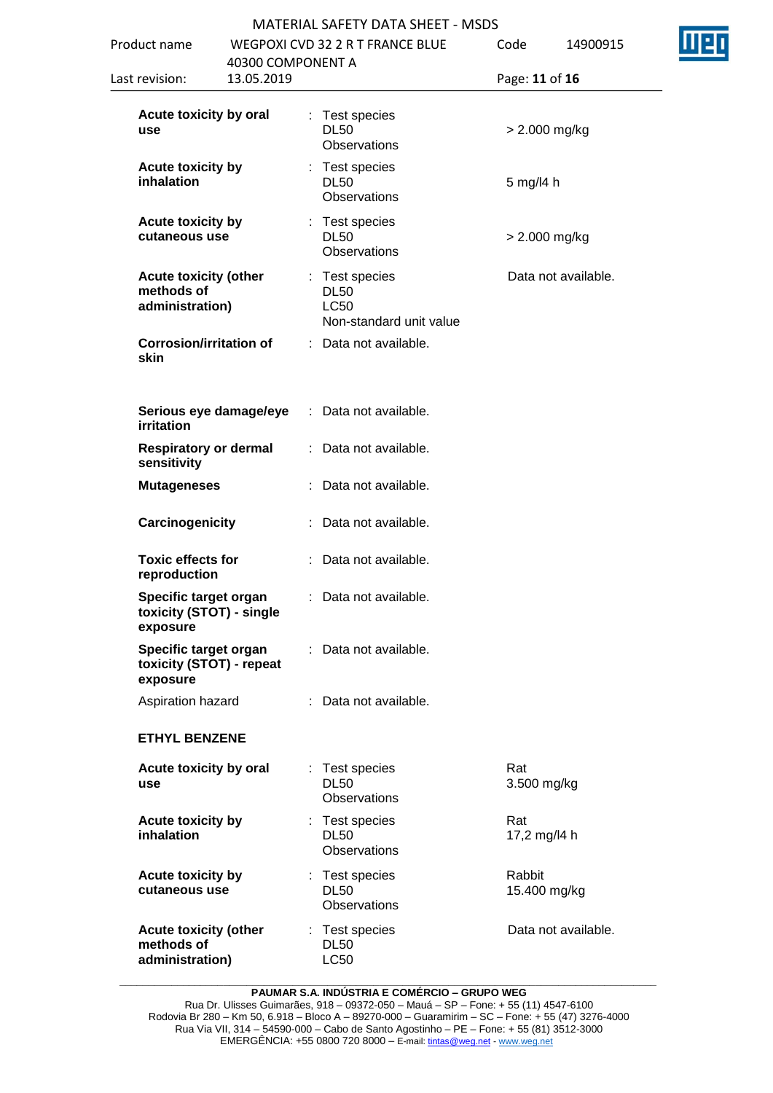|                                        |                   | <b>MATERIAL SAFETY DATA SHEET - MSDS</b>      |                |          |
|----------------------------------------|-------------------|-----------------------------------------------|----------------|----------|
| luct name                              |                   | WEGPOXI CVD 32 2 R T FRANCE BLUE              | Code           | 14900915 |
|                                        | 40300 COMPONENT A |                                               |                |          |
| revision:                              | 13.05.2019        |                                               | Page: 11 of 16 |          |
| Acute toxicity by oral<br>use          |                   | : Test species<br><b>DL50</b><br>Observations | > 2.000 mg/kg  |          |
| <b>Acute toxicity by</b><br>inhalation |                   | : Test species<br><b>DL50</b><br>Observations | 5 mg/l4 h      |          |
| <b>Acute toxicity by</b>               |                   | : Test species                                |                |          |

 $DI$  50 $\overline{O}$ 

**Observations** 

: Data not available.

: Data not available.

: Data not available.

: Data not available.

: Data not available.

: Data not available.

: Test species DL50

: Test species DL50

: Test species DL50

: Test species DL50 LC50

**Observations** 

**Observations** 

**Observations** 

Non-standard unit value

: Test species DL50 LC50

Product name

Last revision:

**cutaneous use**

**methods of administration)**

**skin**

**irritation**

**sensitivity**

**exposure**

**exposure**

**use**

**Toxic effects for reproduction**

**Specific target organ toxicity (STOT) - single** 

**Specific target organ toxicity (STOT) - repeat** 

**ETHYL BENZENE**

**Acute toxicity by inhalation**

**Acute toxicity by cutaneous use**

**Acute toxicity (other** 

**methods of administration)**

**Acute toxicity by oral** 

**Acute toxicity (other** 

**Corrosion/irritation of** 

**Serious eye damage/eye** 

**Mutageneses** : Data not available.

**Carcinogenicity** : Data not available.

Aspiration hazard : Data not available.

**Respiratory or dermal** 

> 2.000 mg/kg

Rat

Rat

Rabbit 15.400 mg/kg

3.500 mg/kg

17,2 mg/l4 h

Data not available.

Data not available.

**\_\_\_\_\_\_\_\_\_\_\_\_\_\_\_\_\_\_\_\_\_\_\_\_\_\_\_\_\_\_\_\_\_\_\_\_\_\_\_\_\_\_\_\_\_\_\_\_\_\_\_\_\_\_\_\_\_\_\_\_\_\_\_\_\_\_\_\_\_\_\_\_\_\_\_\_\_\_\_\_\_\_\_\_\_\_\_\_\_\_\_\_\_ PAUMAR S.A. INDÚSTRIA E COMÉRCIO – GRUPO WEG**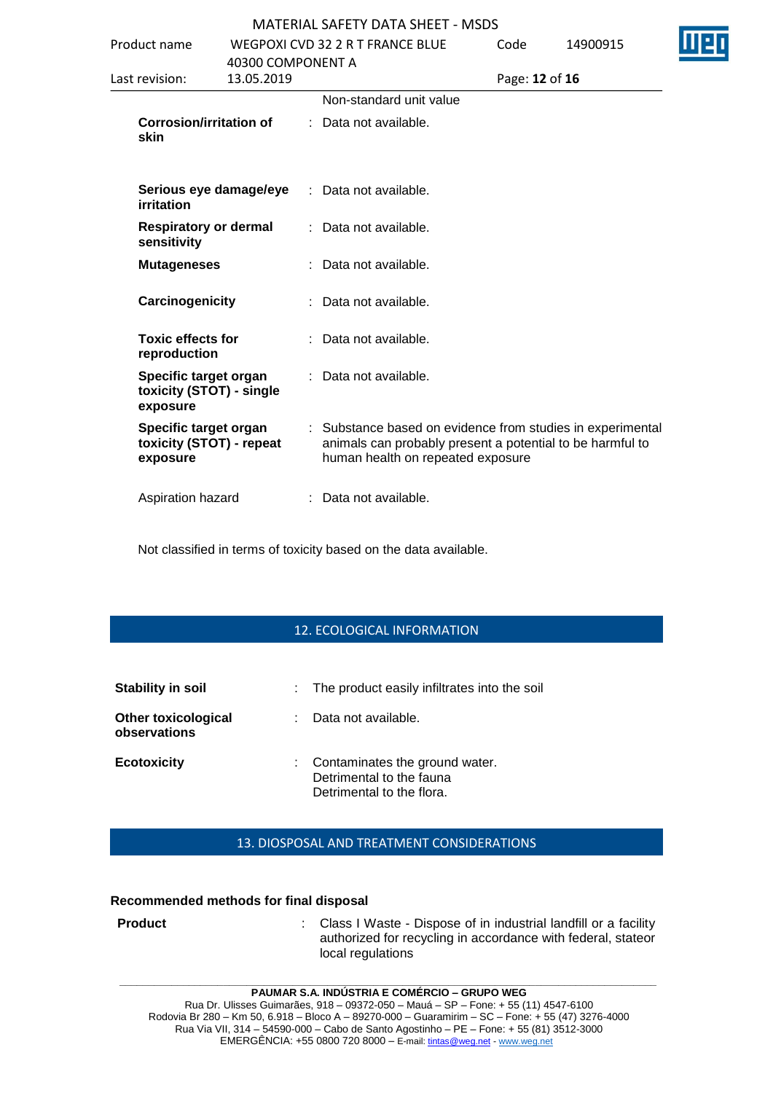| Product name                                                  |                        | WEGPOXI CVD 32 2 R T FRANCE BLUE                                                                                                                             | Code           | 14900915 |  |
|---------------------------------------------------------------|------------------------|--------------------------------------------------------------------------------------------------------------------------------------------------------------|----------------|----------|--|
|                                                               | 40300 COMPONENT A      |                                                                                                                                                              |                |          |  |
| Last revision:                                                | 13.05.2019             |                                                                                                                                                              | Page: 12 of 16 |          |  |
|                                                               |                        | Non-standard unit value                                                                                                                                      |                |          |  |
| <b>Corrosion/irritation of</b><br>skin                        |                        | : Data not available.                                                                                                                                        |                |          |  |
| irritation                                                    | Serious eye damage/eye | : Data not available.                                                                                                                                        |                |          |  |
| <b>Respiratory or dermal</b><br>sensitivity                   |                        | : Data not available.                                                                                                                                        |                |          |  |
| <b>Mutageneses</b>                                            |                        | : Data not available.                                                                                                                                        |                |          |  |
| Carcinogenicity                                               |                        | : Data not available.                                                                                                                                        |                |          |  |
| <b>Toxic effects for</b><br>reproduction                      |                        | : Data not available.                                                                                                                                        |                |          |  |
| Specific target organ<br>toxicity (STOT) - single<br>exposure |                        | : Data not available.                                                                                                                                        |                |          |  |
| Specific target organ<br>toxicity (STOT) - repeat<br>exposure |                        | : Substance based on evidence from studies in experimental<br>animals can probably present a potential to be harmful to<br>human health on repeated exposure |                |          |  |
| Aspiration hazard                                             |                        | : Data not available.                                                                                                                                        |                |          |  |
|                                                               |                        |                                                                                                                                                              |                |          |  |

Not classified in terms of toxicity based on the data available.

### 12. ECOLOGICAL INFORMATION

| Stability in soil                          |    | : The product easily infiltrates into the soil                                          |
|--------------------------------------------|----|-----------------------------------------------------------------------------------------|
| <b>Other toxicological</b><br>observations | ÷. | Data not available.                                                                     |
| <b>Ecotoxicity</b>                         |    | Contaminates the ground water.<br>Detrimental to the fauna<br>Detrimental to the flora. |

### 13. DIOSPOSAL AND TREATMENT CONSIDERATIONS

### **Recommended methods for final disposal**

**Product** : Class I Waste - Dispose of in industrial landfill or a facility authorized for recycling in accordance with federal, stateor local regulations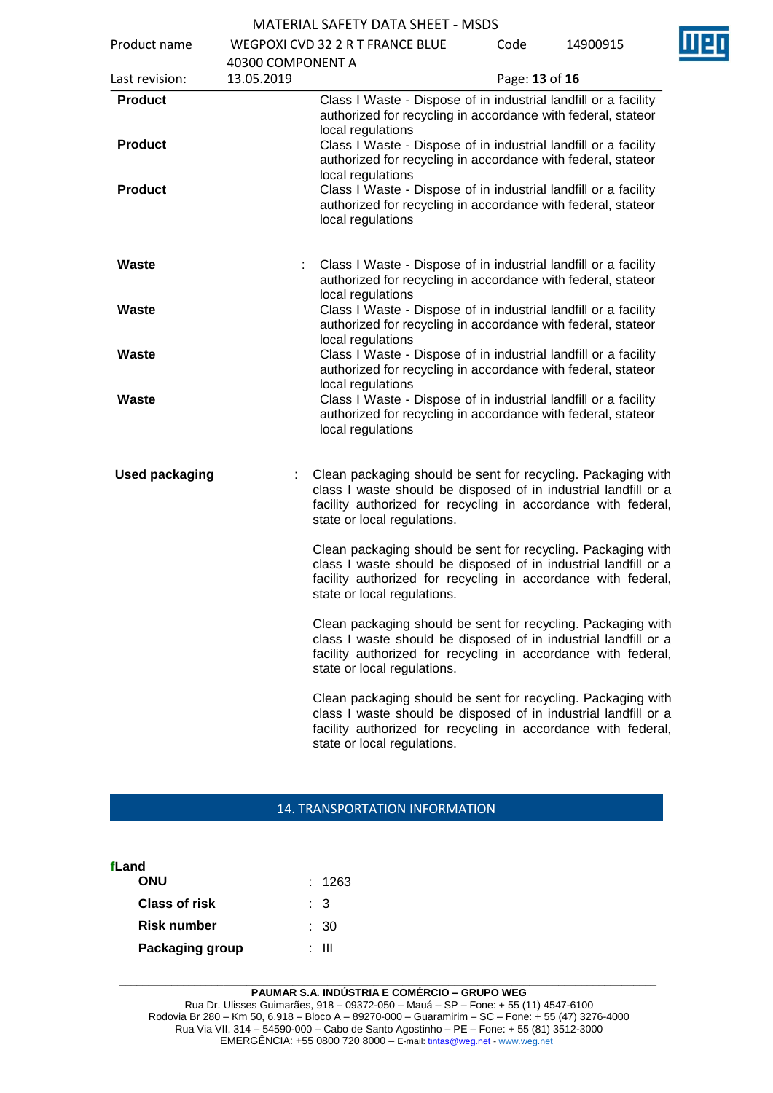Product name WEGPOXI CVD 32 2 R T FRANCE BLUE

Code 14900915

|                       | 40300 COMPONENT A |                                                                                                                                                                                                                                 |
|-----------------------|-------------------|---------------------------------------------------------------------------------------------------------------------------------------------------------------------------------------------------------------------------------|
| Last revision:        | 13.05.2019        | Page: 13 of 16                                                                                                                                                                                                                  |
| <b>Product</b>        |                   | Class I Waste - Dispose of in industrial landfill or a facility<br>authorized for recycling in accordance with federal, stateor<br>local regulations                                                                            |
| <b>Product</b>        |                   | Class I Waste - Dispose of in industrial landfill or a facility<br>authorized for recycling in accordance with federal, stateor<br>local regulations                                                                            |
| <b>Product</b>        |                   | Class I Waste - Dispose of in industrial landfill or a facility<br>authorized for recycling in accordance with federal, stateor<br>local regulations                                                                            |
| Waste                 |                   | Class I Waste - Dispose of in industrial landfill or a facility<br>authorized for recycling in accordance with federal, stateor<br>local regulations                                                                            |
| Waste                 |                   | Class I Waste - Dispose of in industrial landfill or a facility<br>authorized for recycling in accordance with federal, stateor<br>local regulations                                                                            |
| Waste                 |                   | Class I Waste - Dispose of in industrial landfill or a facility<br>authorized for recycling in accordance with federal, stateor<br>local regulations                                                                            |
| Waste                 |                   | Class I Waste - Dispose of in industrial landfill or a facility<br>authorized for recycling in accordance with federal, stateor<br>local regulations                                                                            |
| <b>Used packaging</b> |                   | Clean packaging should be sent for recycling. Packaging with<br>class I waste should be disposed of in industrial landfill or a<br>facility authorized for recycling in accordance with federal,<br>state or local regulations. |
|                       |                   | Clean packaging should be sent for recycling. Packaging with<br>class I waste should be disposed of in industrial landfill or a<br>facility authorized for recycling in accordance with federal,<br>state or local regulations. |
|                       |                   | Clean packaging should be sent for recycling. Packaging with<br>class I waste should be disposed of in industrial landfill or a<br>facility authorized for recycling in accordance with federal,<br>state or local regulations. |
|                       |                   | Clean packaging should be sent for recycling. Packaging with<br>class I waste should be disposed of in industrial landfill or a<br>facility authorized for recycling in accordance with federal,<br>state or local regulations. |

### 14. TRANSPORTATION INFORMATION

| fLand                |        |
|----------------------|--------|
| ONU                  | : 1263 |
| <b>Class of risk</b> | : 3    |
| Risk number          | : 30   |
| Packaging group      | ∙ III  |
|                      |        |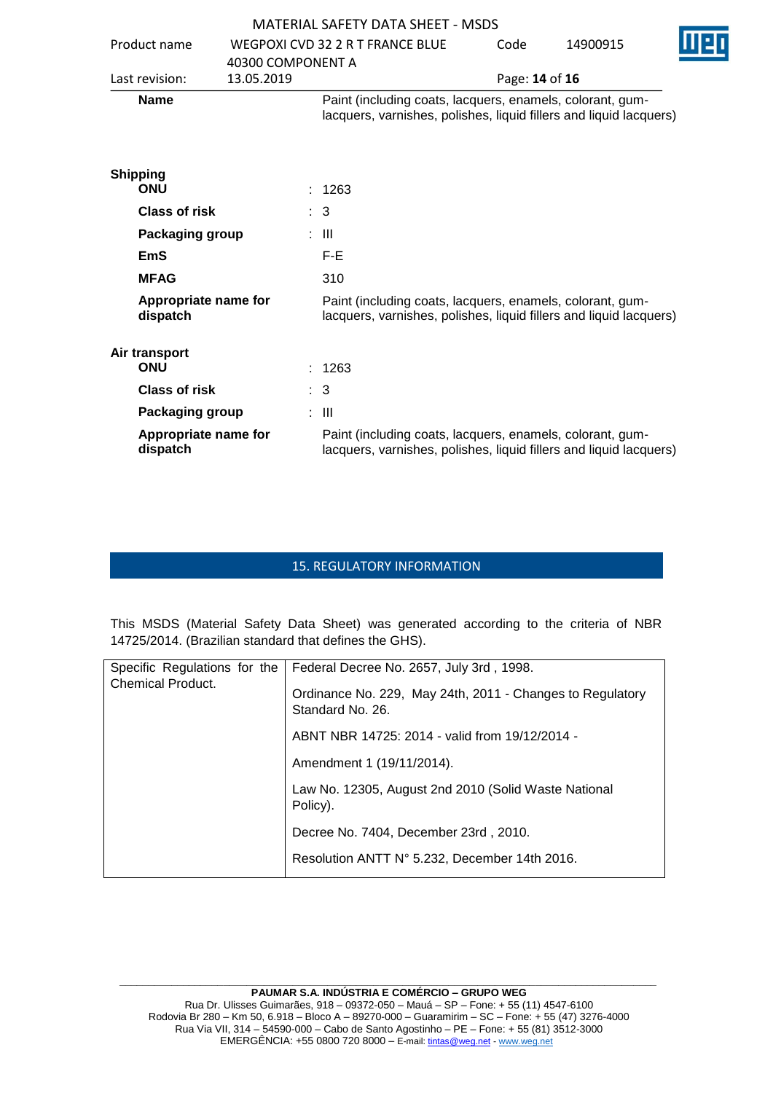|                                  |                   | MATERIAL SAFETY DATA SHEFT - MSDS                                                                                               |                |          |
|----------------------------------|-------------------|---------------------------------------------------------------------------------------------------------------------------------|----------------|----------|
| Product name                     |                   | WEGPOXI CVD 32 2 R T FRANCE BLUE                                                                                                | Code           | 14900915 |
|                                  | 40300 COMPONENT A |                                                                                                                                 |                |          |
| Last revision:                   | 13.05.2019        |                                                                                                                                 | Page: 14 of 16 |          |
| <b>Name</b>                      |                   | Paint (including coats, lacquers, enamels, colorant, gum-<br>lacquers, varnishes, polishes, liquid fillers and liquid lacquers) |                |          |
| <b>Shipping</b>                  |                   |                                                                                                                                 |                |          |
| <b>ONU</b>                       |                   | : 1263                                                                                                                          |                |          |
| <b>Class of risk</b>             |                   | : 3                                                                                                                             |                |          |
| Packaging group                  |                   | : III                                                                                                                           |                |          |
| <b>EmS</b>                       |                   | F-E                                                                                                                             |                |          |
| <b>MFAG</b>                      |                   | 310                                                                                                                             |                |          |
| Appropriate name for<br>dispatch |                   | Paint (including coats, lacquers, enamels, colorant, gum-<br>lacquers, varnishes, polishes, liquid fillers and liquid lacquers) |                |          |
| Air transport<br><b>ONU</b>      |                   | : 1263                                                                                                                          |                |          |
| <b>Class of risk</b>             |                   | $\therefore$ 3                                                                                                                  |                |          |
| Packaging group                  |                   | : III                                                                                                                           |                |          |
| Appropriate name for<br>dispatch |                   | Paint (including coats, lacquers, enamels, colorant, gum-<br>lacquers, varnishes, polishes, liquid fillers and liquid lacquers) |                |          |

# 15. REGULATORY INFORMATION

This MSDS (Material Safety Data Sheet) was generated according to the criteria of NBR 14725/2014. (Brazilian standard that defines the GHS).

| Specific Regulations for the<br><b>Chemical Product.</b> | Federal Decree No. 2657, July 3rd, 1998.                                      |
|----------------------------------------------------------|-------------------------------------------------------------------------------|
|                                                          | Ordinance No. 229, May 24th, 2011 - Changes to Regulatory<br>Standard No. 26. |
|                                                          | ABNT NBR 14725: 2014 - valid from 19/12/2014 -                                |
|                                                          | Amendment 1 (19/11/2014).                                                     |
|                                                          | Law No. 12305, August 2nd 2010 (Solid Waste National<br>Policy).              |
|                                                          | Decree No. 7404, December 23rd, 2010.                                         |
|                                                          | Resolution ANTT N° 5.232, December 14th 2016.                                 |
|                                                          |                                                                               |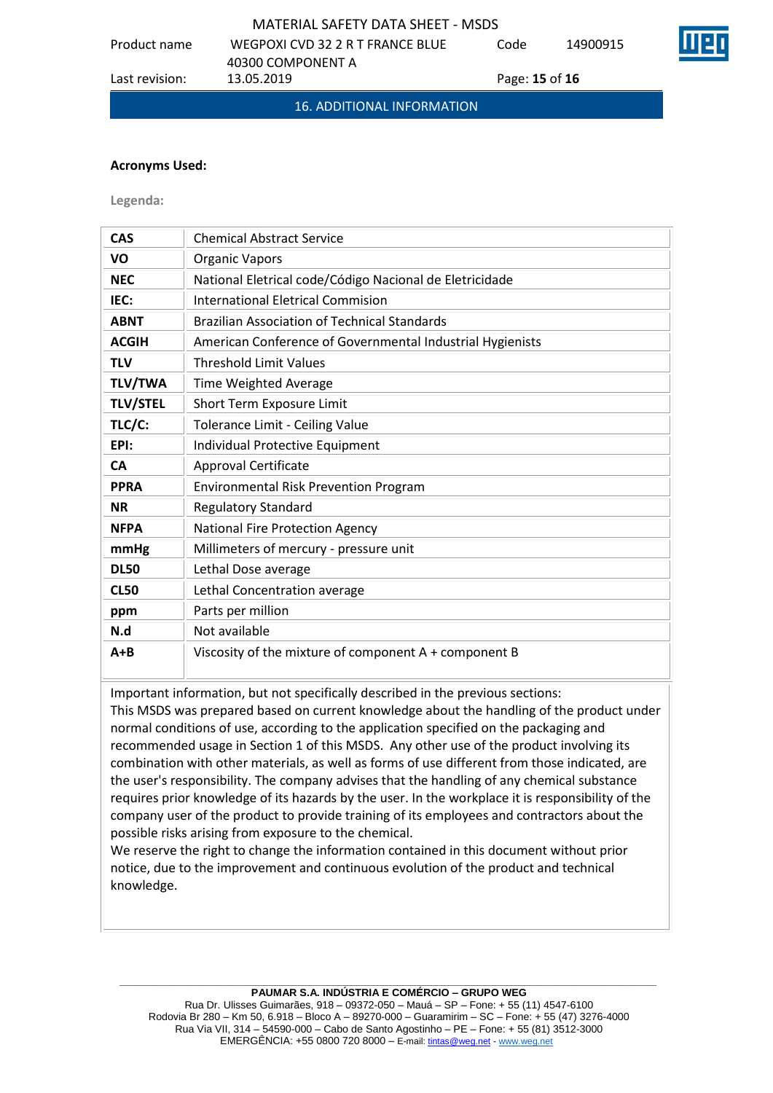Product name WEGPOXI CVD 32 2 R T FRANCE BLUE

40300 COMPONENT A

Last revision: 13.05.2019 Page: **15** of **16**





16. ADDITIONAL INFORMATION

### **Acronyms Used:**

**Legenda:**

| <b>CAS</b>      | <b>Chemical Abstract Service</b>                          |
|-----------------|-----------------------------------------------------------|
| VO              | <b>Organic Vapors</b>                                     |
| <b>NEC</b>      | National Eletrical code/Código Nacional de Eletricidade   |
| IEC:            | <b>International Eletrical Commision</b>                  |
| <b>ABNT</b>     | <b>Brazilian Association of Technical Standards</b>       |
| <b>ACGIH</b>    | American Conference of Governmental Industrial Hygienists |
| <b>TLV</b>      | <b>Threshold Limit Values</b>                             |
| <b>TLV/TWA</b>  | Time Weighted Average                                     |
| <b>TLV/STEL</b> | Short Term Exposure Limit                                 |
| TLC/C:          | Tolerance Limit - Ceiling Value                           |
| EPI:            | Individual Protective Equipment                           |
| <b>CA</b>       | <b>Approval Certificate</b>                               |
| <b>PPRA</b>     | <b>Environmental Risk Prevention Program</b>              |
| <b>NR</b>       | <b>Regulatory Standard</b>                                |
| <b>NFPA</b>     | <b>National Fire Protection Agency</b>                    |
| mmHg            | Millimeters of mercury - pressure unit                    |
| <b>DL50</b>     | Lethal Dose average                                       |
| <b>CL50</b>     | Lethal Concentration average                              |
| ppm             | Parts per million                                         |
| N.d             | Not available                                             |
| $A + B$         | Viscosity of the mixture of component A + component B     |

Important information, but not specifically described in the previous sections:

This MSDS was prepared based on current knowledge about the handling of the product under normal conditions of use, according to the application specified on the packaging and recommended usage in Section 1 of this MSDS. Any other use of the product involving its combination with other materials, as well as forms of use different from those indicated, are the user's responsibility. The company advises that the handling of any chemical substance requires prior knowledge of its hazards by the user. In the workplace it is responsibility of the company user of the product to provide training of its employees and contractors about the possible risks arising from exposure to the chemical.

We reserve the right to change the information contained in this document without prior notice, due to the improvement and continuous evolution of the product and technical knowledge.

#### **\_\_\_\_\_\_\_\_\_\_\_\_\_\_\_\_\_\_\_\_\_\_\_\_\_\_\_\_\_\_\_\_\_\_\_\_\_\_\_\_\_\_\_\_\_\_\_\_\_\_\_\_\_\_\_\_\_\_\_\_\_\_\_\_\_\_\_\_\_\_\_\_\_\_\_\_\_\_\_\_\_\_\_\_\_\_\_\_\_\_\_\_\_ PAUMAR S.A. INDÚSTRIA E COMÉRCIO – GRUPO WEG**

Rua Dr. Ulisses Guimarães, 918 – 09372-050 – Mauá – SP – Fone: + 55 (11) 4547-6100 Rodovia Br 280 – Km 50, 6.918 – Bloco A – 89270-000 – Guaramirim – SC – Fone: + 55 (47) 3276-4000 Rua Via VII, 314 – 54590-000 – Cabo de Santo Agostinho – PE – Fone: + 55 (81) 3512-3000 EMERGÊNCIA: +55 0800 720 8000 – E-mail[: tintas@weg.net](mailto:tintas@weg.net) - [www.weg.net](http://www.weg.net/)